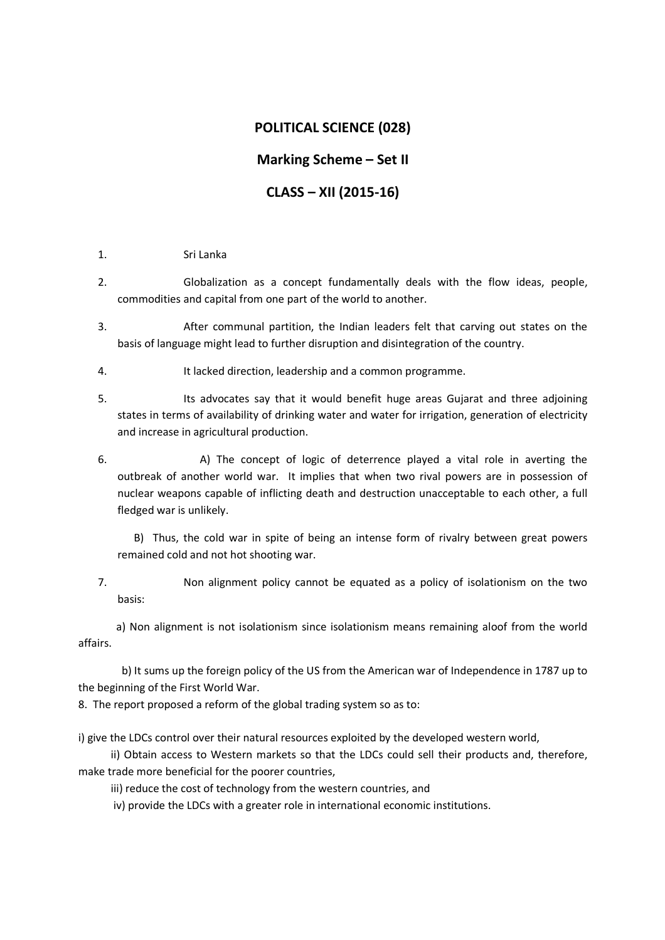## **POLITICAL SCIENCE (028)**

# **Marking Scheme – Set II**

# **CLASS – XII (2015-16)**

- 1. Sri Lanka
- 2. Globalization as a concept fundamentally deals with the flow ideas, people, commodities and capital from one part of the world to another.
- 3. After communal partition, the Indian leaders felt that carving out states on the basis of language might lead to further disruption and disintegration of the country.
- 4. It lacked direction, leadership and a common programme.
- 5. Its advocates say that it would benefit huge areas Gujarat and three adjoining states in terms of availability of drinking water and water for irrigation, generation of electricity and increase in agricultural production.
- 6. A) The concept of logic of deterrence played a vital role in averting the outbreak of another world war. It implies that when two rival powers are in possession of nuclear weapons capable of inflicting death and destruction unacceptable to each other, a full fledged war is unlikely.

 B) Thus, the cold war in spite of being an intense form of rivalry between great powers remained cold and not hot shooting war.

7. Non alignment policy cannot be equated as a policy of isolationism on the two basis:

 a) Non alignment is not isolationism since isolationism means remaining aloof from the world affairs.

 b) It sums up the foreign policy of the US from the American war of Independence in 1787 up to the beginning of the First World War.

8. The report proposed a reform of the global trading system so as to:

i) give the LDCs control over their natural resources exploited by the developed western world,

 ii) Obtain access to Western markets so that the LDCs could sell their products and, therefore, make trade more beneficial for the poorer countries,

iii) reduce the cost of technology from the western countries, and

iv) provide the LDCs with a greater role in international economic institutions.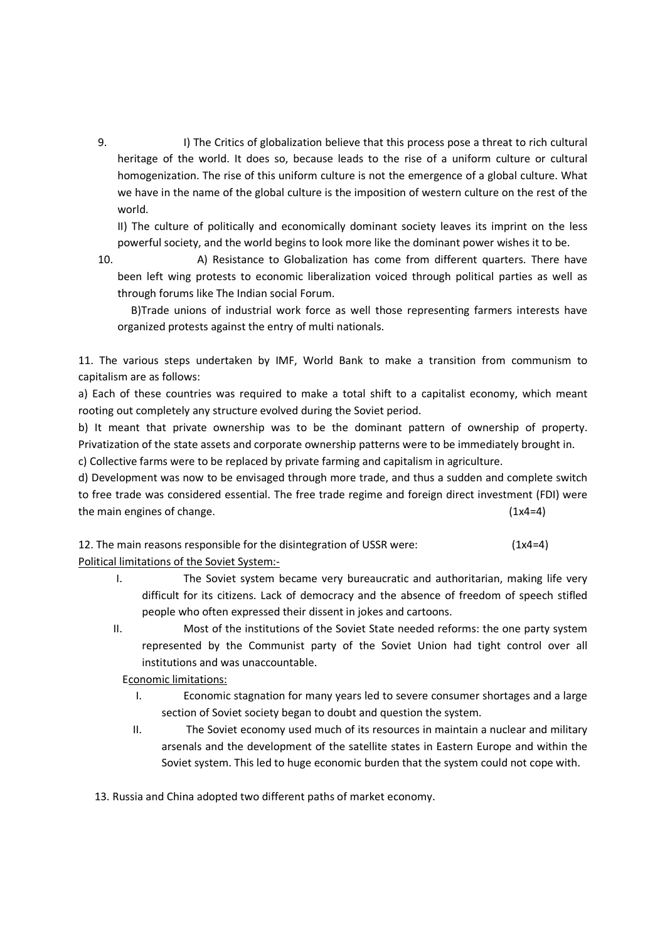9. I) The Critics of globalization believe that this process pose a threat to rich cultural heritage of the world. It does so, because leads to the rise of a uniform culture or cultural homogenization. The rise of this uniform culture is not the emergence of a global culture. What we have in the name of the global culture is the imposition of western culture on the rest of the world.

II) The culture of politically and economically dominant society leaves its imprint on the less powerful society, and the world begins to look more like the dominant power wishes it to be.

10. A) Resistance to Globalization has come from different quarters. There have been left wing protests to economic liberalization voiced through political parties as well as through forums like The Indian social Forum.

 B)Trade unions of industrial work force as well those representing farmers interests have organized protests against the entry of multi nationals.

11. The various steps undertaken by IMF, World Bank to make a transition from communism to capitalism are as follows:

a) Each of these countries was required to make a total shift to a capitalist economy, which meant rooting out completely any structure evolved during the Soviet period.

b) It meant that private ownership was to be the dominant pattern of ownership of property. Privatization of the state assets and corporate ownership patterns were to be immediately brought in.

c) Collective farms were to be replaced by private farming and capitalism in agriculture.

d) Development was now to be envisaged through more trade, and thus a sudden and complete switch to free trade was considered essential. The free trade regime and foreign direct investment (FDI) were the main engines of change. (1x4=4)

12. The main reasons responsible for the disintegration of USSR were: (1x4=4) Political limitations of the Soviet System:-

- I. The Soviet system became very bureaucratic and authoritarian, making life very difficult for its citizens. Lack of democracy and the absence of freedom of speech stifled people who often expressed their dissent in jokes and cartoons.
- II. Most of the institutions of the Soviet State needed reforms: the one party system represented by the Communist party of the Soviet Union had tight control over all institutions and was unaccountable.

Economic limitations:

- I. Economic stagnation for many years led to severe consumer shortages and a large section of Soviet society began to doubt and question the system.
- II. The Soviet economy used much of its resources in maintain a nuclear and military arsenals and the development of the satellite states in Eastern Europe and within the Soviet system. This led to huge economic burden that the system could not cope with.

13. Russia and China adopted two different paths of market economy.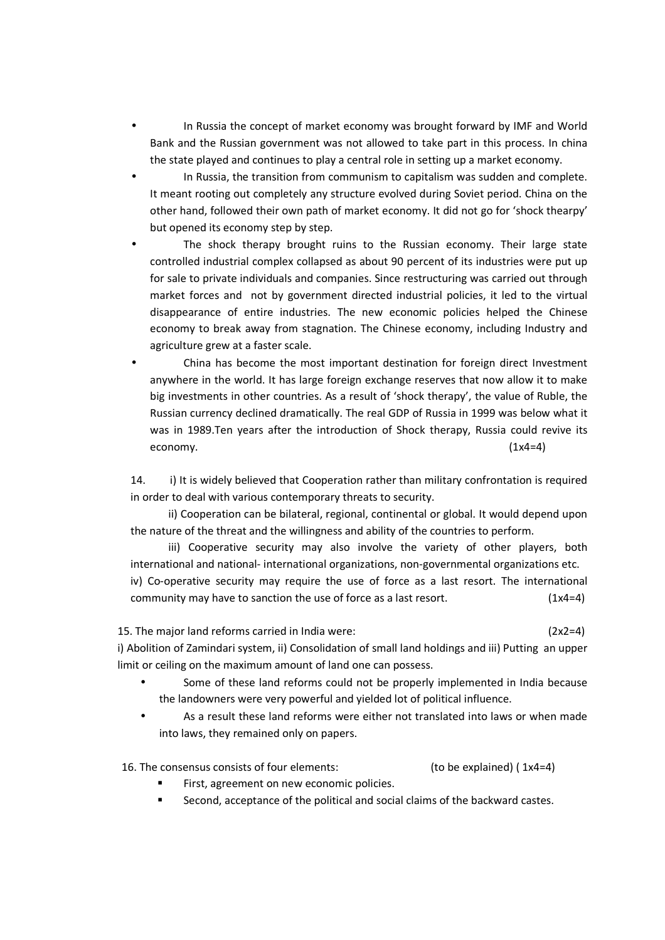- In Russia the concept of market economy was brought forward by IMF and World Bank and the Russian government was not allowed to take part in this process. In china the state played and continues to play a central role in setting up a market economy.
- In Russia, the transition from communism to capitalism was sudden and complete. It meant rooting out completely any structure evolved during Soviet period. China on the other hand, followed their own path of market economy. It did not go for 'shock thearpy' but opened its economy step by step.
- The shock therapy brought ruins to the Russian economy. Their large state controlled industrial complex collapsed as about 90 percent of its industries were put up for sale to private individuals and companies. Since restructuring was carried out through market forces and not by government directed industrial policies, it led to the virtual disappearance of entire industries. The new economic policies helped the Chinese economy to break away from stagnation. The Chinese economy, including Industry and agriculture grew at a faster scale.
- China has become the most important destination for foreign direct Investment anywhere in the world. It has large foreign exchange reserves that now allow it to make big investments in other countries. As a result of 'shock therapy', the value of Ruble, the Russian currency declined dramatically. The real GDP of Russia in 1999 was below what it was in 1989.Ten years after the introduction of Shock therapy, Russia could revive its economy.  $(1x4=4)$

14. i) It is widely believed that Cooperation rather than military confrontation is required in order to deal with various contemporary threats to security.

 ii) Cooperation can be bilateral, regional, continental or global. It would depend upon the nature of the threat and the willingness and ability of the countries to perform.

 iii) Cooperative security may also involve the variety of other players, both international and national- international organizations, non-governmental organizations etc. iv) Co-operative security may require the use of force as a last resort. The international community may have to sanction the use of force as a last resort.  $(1x4=4)$ 

15. The major land reforms carried in India were: (2x2=4)

i) Abolition of Zamindari system, ii) Consolidation of small land holdings and iii) Putting an upper limit or ceiling on the maximum amount of land one can possess.

- Some of these land reforms could not be properly implemented in India because the landowners were very powerful and yielded lot of political influence.
- As a result these land reforms were either not translated into laws or when made into laws, they remained only on papers.

16. The consensus consists of four elements: (to be explained) ( 1x4=4)

- First, agreement on new economic policies.
- Second, acceptance of the political and social claims of the backward castes.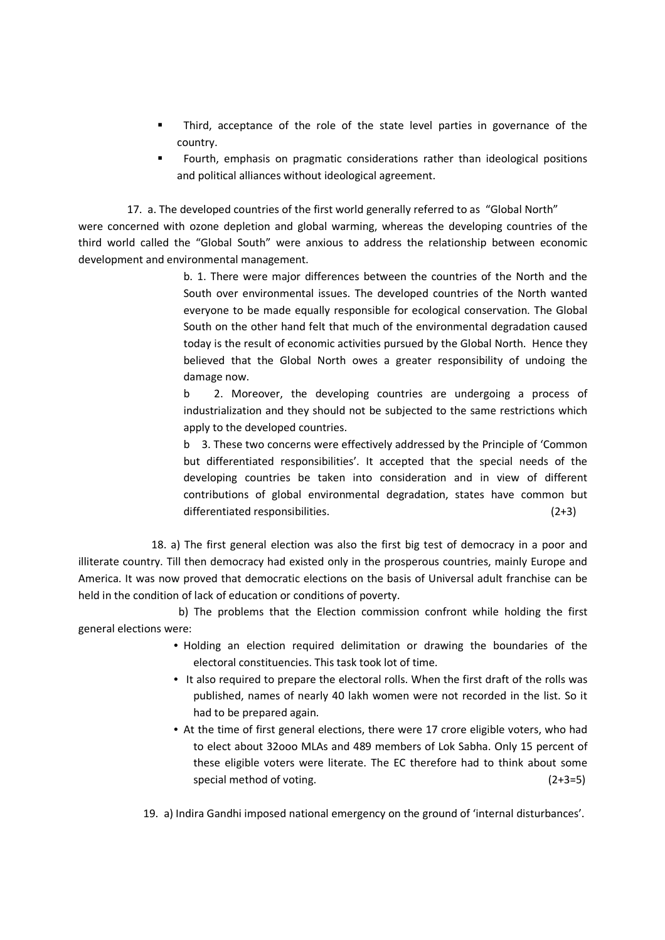- Third, acceptance of the role of the state level parties in governance of the country.
- Fourth, emphasis on pragmatic considerations rather than ideological positions and political alliances without ideological agreement.

17. a. The developed countries of the first world generally referred to as "Global North"

were concerned with ozone depletion and global warming, whereas the developing countries of the third world called the "Global South" were anxious to address the relationship between economic development and environmental management.

> b. 1. There were major differences between the countries of the North and the South over environmental issues. The developed countries of the North wanted everyone to be made equally responsible for ecological conservation. The Global South on the other hand felt that much of the environmental degradation caused today is the result of economic activities pursued by the Global North. Hence they believed that the Global North owes a greater responsibility of undoing the damage now.

> b 2. Moreover, the developing countries are undergoing a process of industrialization and they should not be subjected to the same restrictions which apply to the developed countries.

> b 3. These two concerns were effectively addressed by the Principle of 'Common but differentiated responsibilities'. It accepted that the special needs of the developing countries be taken into consideration and in view of different contributions of global environmental degradation, states have common but differentiated responsibilities. (2+3)

 18. a) The first general election was also the first big test of democracy in a poor and illiterate country. Till then democracy had existed only in the prosperous countries, mainly Europe and America. It was now proved that democratic elections on the basis of Universal adult franchise can be held in the condition of lack of education or conditions of poverty.

 b) The problems that the Election commission confront while holding the first general elections were:

- Holding an election required delimitation or drawing the boundaries of the electoral constituencies. This task took lot of time.
- It also required to prepare the electoral rolls. When the first draft of the rolls was published, names of nearly 40 lakh women were not recorded in the list. So it had to be prepared again.
- At the time of first general elections, there were 17 crore eligible voters, who had to elect about 32ooo MLAs and 489 members of Lok Sabha. Only 15 percent of these eligible voters were literate. The EC therefore had to think about some special method of voting. (2+3=5)

19. a) Indira Gandhi imposed national emergency on the ground of 'internal disturbances'.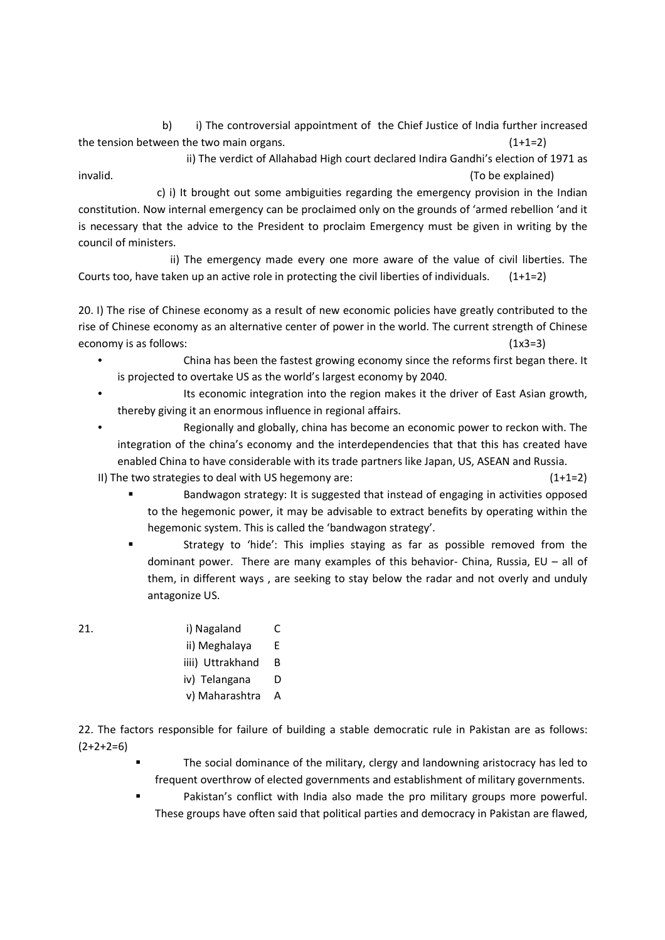b) i) The controversial appointment of the Chief Justice of India further increased the tension between the two main organs.  $(1+1=2)$ 

 ii) The verdict of Allahabad High court declared Indira Gandhi's election of 1971 as invalid. (To be explained)

 c) i) It brought out some ambiguities regarding the emergency provision in the Indian constitution. Now internal emergency can be proclaimed only on the grounds of 'armed rebellion 'and it is necessary that the advice to the President to proclaim Emergency must be given in writing by the council of ministers.

 ii) The emergency made every one more aware of the value of civil liberties. The Courts too, have taken up an active role in protecting the civil liberties of individuals. (1+1=2)

20. I) The rise of Chinese economy as a result of new economic policies have greatly contributed to the rise of Chinese economy as an alternative center of power in the world. The current strength of Chinese economy is as follows: (1x3=3)

- China has been the fastest growing economy since the reforms first began there. It is projected to overtake US as the world's largest economy by 2040.
- Its economic integration into the region makes it the driver of East Asian growth, thereby giving it an enormous influence in regional affairs.
- Regionally and globally, china has become an economic power to reckon with. The integration of the china's economy and the interdependencies that that this has created have enabled China to have considerable with its trade partners like Japan, US, ASEAN and Russia.

II) The two strategies to deal with US hegemony are:  $(1+1=2)$ 

- Bandwagon strategy: It is suggested that instead of engaging in activities opposed to the hegemonic power, it may be advisable to extract benefits by operating within the hegemonic system. This is called the 'bandwagon strategy'.
- Strategy to 'hide': This implies staying as far as possible removed from the dominant power. There are many examples of this behavior- China, Russia, EU – all of them, in different ways , are seeking to stay below the radar and not overly and unduly antagonize US.
- 

# 21. i) Nagaland C

- ii) Meghalaya E
- iiii) Uttrakhand B
- iv) Telangana D
- v) Maharashtra A

22. The factors responsible for failure of building a stable democratic rule in Pakistan are as follows:  $(2+2+2=6)$ 

- The social dominance of the military, clergy and landowning aristocracy has led to frequent overthrow of elected governments and establishment of military governments.
- Pakistan's conflict with India also made the pro military groups more powerful. These groups have often said that political parties and democracy in Pakistan are flawed,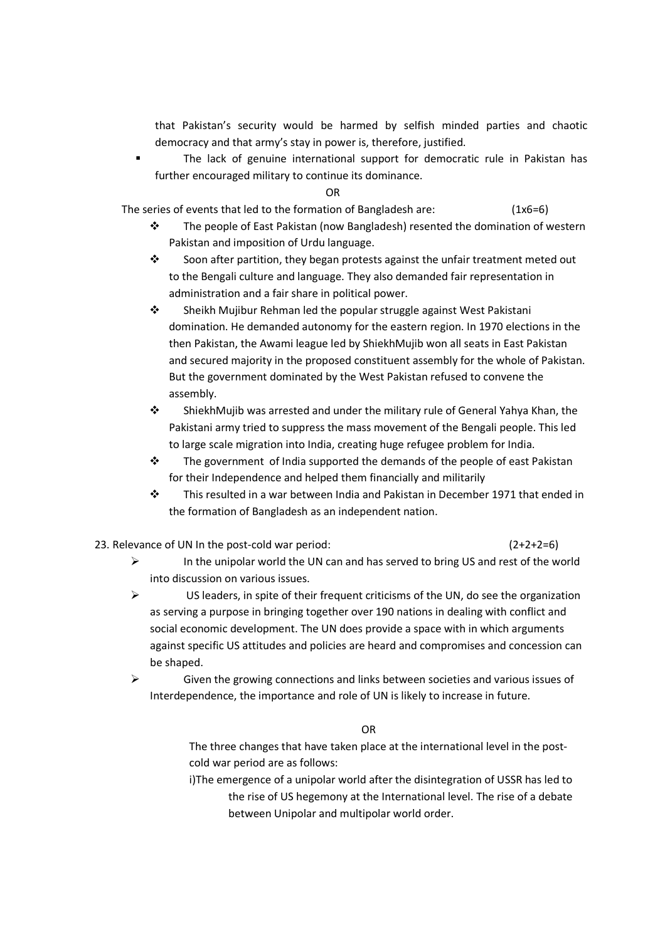that Pakistan's security would be harmed by selfish minded parties and chaotic democracy and that army's stay in power is, therefore, justified.

 The lack of genuine international support for democratic rule in Pakistan has further encouraged military to continue its dominance.

OR

The series of events that led to the formation of Bangladesh are:  $(1x6=6)$ 

- $\ddot{\cdot}$  The people of East Pakistan (now Bangladesh) resented the domination of western Pakistan and imposition of Urdu language.
- $\cdot$  Soon after partition, they began protests against the unfair treatment meted out to the Bengali culture and language. They also demanded fair representation in administration and a fair share in political power.
- $\ddot{\cdot}$  Sheikh Mujibur Rehman led the popular struggle against West Pakistani domination. He demanded autonomy for the eastern region. In 1970 elections in the then Pakistan, the Awami league led by ShiekhMujib won all seats in East Pakistan and secured majority in the proposed constituent assembly for the whole of Pakistan. But the government dominated by the West Pakistan refused to convene the assembly.
- $\ddot{\cdot}$  ShiekhMujib was arrested and under the military rule of General Yahya Khan, the Pakistani army tried to suppress the mass movement of the Bengali people. This led to large scale migration into India, creating huge refugee problem for India.
- $\cdot$  The government of India supported the demands of the people of east Pakistan for their Independence and helped them financially and militarily
- $\ddot{\cdot}$  This resulted in a war between India and Pakistan in December 1971 that ended in the formation of Bangladesh as an independent nation.
- 23. Relevance of UN In the post-cold war period:  $(2+2+2=6)$

- $\triangleright$  In the unipolar world the UN can and has served to bring US and rest of the world into discussion on various issues.
- $\triangleright$  US leaders, in spite of their frequent criticisms of the UN, do see the organization as serving a purpose in bringing together over 190 nations in dealing with conflict and social economic development. The UN does provide a space with in which arguments against specific US attitudes and policies are heard and compromises and concession can be shaped.
- $\triangleright$  Given the growing connections and links between societies and various issues of Interdependence, the importance and role of UN is likely to increase in future.

OR

The three changes that have taken place at the international level in the postcold war period are as follows:

i)The emergence of a unipolar world after the disintegration of USSR has led to the rise of US hegemony at the International level. The rise of a debate between Unipolar and multipolar world order.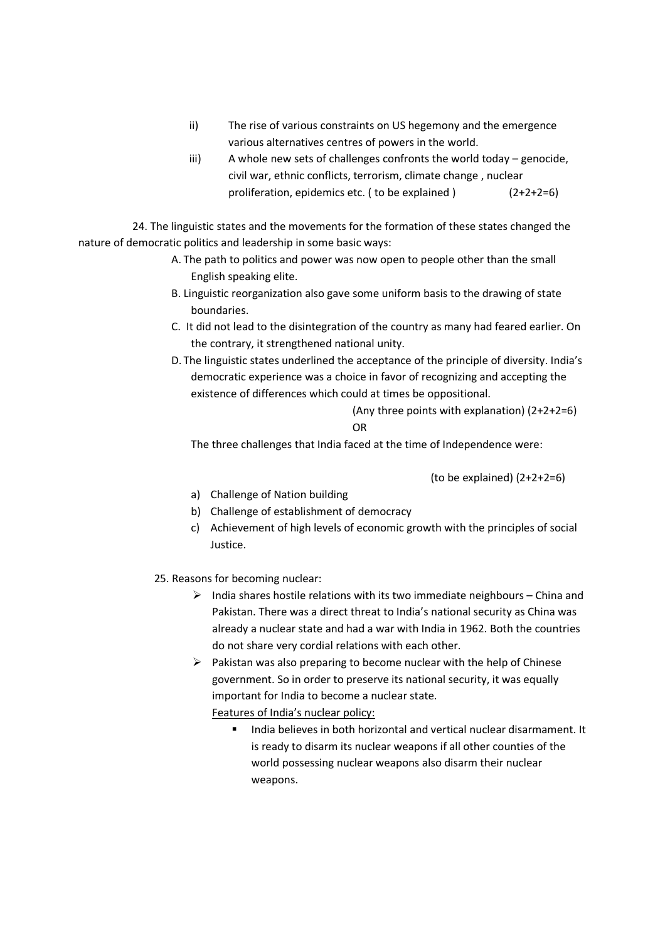- ii) The rise of various constraints on US hegemony and the emergence various alternatives centres of powers in the world.
- iii) A whole new sets of challenges confronts the world today genocide, civil war, ethnic conflicts, terrorism, climate change , nuclear proliferation, epidemics etc. ( to be explained ) (2+2+2=6)

 24. The linguistic states and the movements for the formation of these states changed the nature of democratic politics and leadership in some basic ways:

- A. The path to politics and power was now open to people other than the small English speaking elite.
- B. Linguistic reorganization also gave some uniform basis to the drawing of state boundaries.
- C. It did not lead to the disintegration of the country as many had feared earlier. On the contrary, it strengthened national unity.
- D. The linguistic states underlined the acceptance of the principle of diversity. India's democratic experience was a choice in favor of recognizing and accepting the existence of differences which could at times be oppositional.

 (Any three points with explanation) (2+2+2=6) **OR** STREET STREET AND THE STREET STREET AND THE STREET STREET STREET AND THE STREET STREET AND THE STREET AND THE STREET AND THE STREET AND THE STREET AND THE STREET AND THE STREET AND THE STREET AND THE STREET AND THE ST

The three challenges that India faced at the time of Independence were:

(to be explained) (2+2+2=6)

- a) Challenge of Nation building
- b) Challenge of establishment of democracy
- c) Achievement of high levels of economic growth with the principles of social Justice.

25. Reasons for becoming nuclear:

- $\triangleright$  India shares hostile relations with its two immediate neighbours China and Pakistan. There was a direct threat to India's national security as China was already a nuclear state and had a war with India in 1962. Both the countries do not share very cordial relations with each other.
- $\triangleright$  Pakistan was also preparing to become nuclear with the help of Chinese government. So in order to preserve its national security, it was equally important for India to become a nuclear state.

Features of India's nuclear policy:

India believes in both horizontal and vertical nuclear disarmament. It is ready to disarm its nuclear weapons if all other counties of the world possessing nuclear weapons also disarm their nuclear weapons.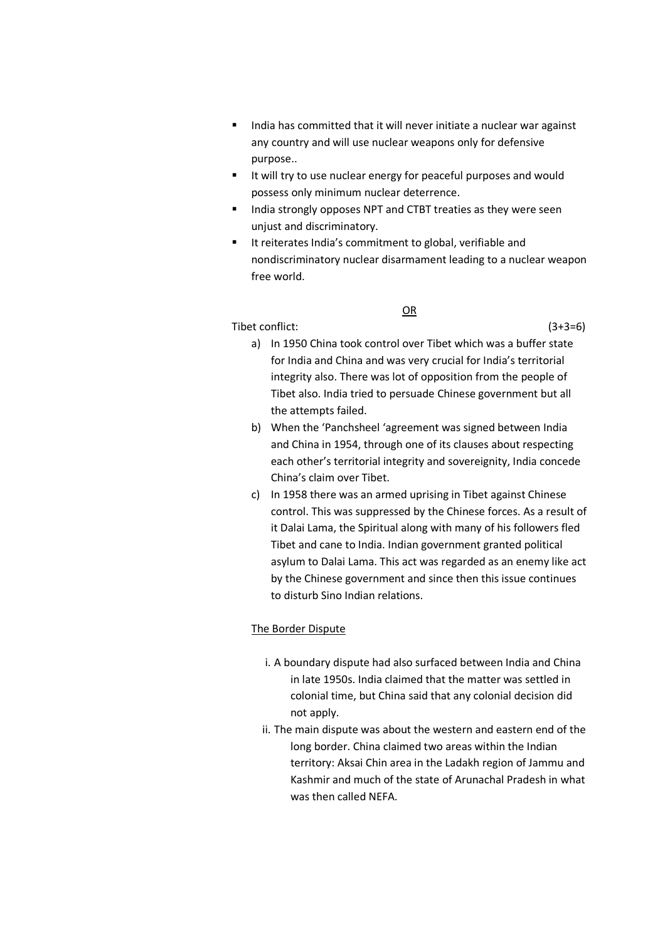- India has committed that it will never initiate a nuclear war against any country and will use nuclear weapons only for defensive purpose..
- I It will try to use nuclear energy for peaceful purposes and would possess only minimum nuclear deterrence.
- **India strongly opposes NPT and CTBT treaties as they were seen** unjust and discriminatory.
- **If reiterates India's commitment to global, verifiable and** nondiscriminatory nuclear disarmament leading to a nuclear weapon free world.

OR

Tibet conflict: (3+3=6)

- a) In 1950 China took control over Tibet which was a buffer state for India and China and was very crucial for India's territorial integrity also. There was lot of opposition from the people of Tibet also. India tried to persuade Chinese government but all the attempts failed.
- b) When the 'Panchsheel 'agreement was signed between India and China in 1954, through one of its clauses about respecting each other's territorial integrity and sovereignity, India concede China's claim over Tibet.
- c) In 1958 there was an armed uprising in Tibet against Chinese control. This was suppressed by the Chinese forces. As a result of it Dalai Lama, the Spiritual along with many of his followers fled Tibet and cane to India. Indian government granted political asylum to Dalai Lama. This act was regarded as an enemy like act by the Chinese government and since then this issue continues to disturb Sino Indian relations.

## The Border Dispute

- i. A boundary dispute had also surfaced between India and China in late 1950s. India claimed that the matter was settled in colonial time, but China said that any colonial decision did not apply.
- ii. The main dispute was about the western and eastern end of the long border. China claimed two areas within the Indian territory: Aksai Chin area in the Ladakh region of Jammu and Kashmir and much of the state of Arunachal Pradesh in what was then called NEFA.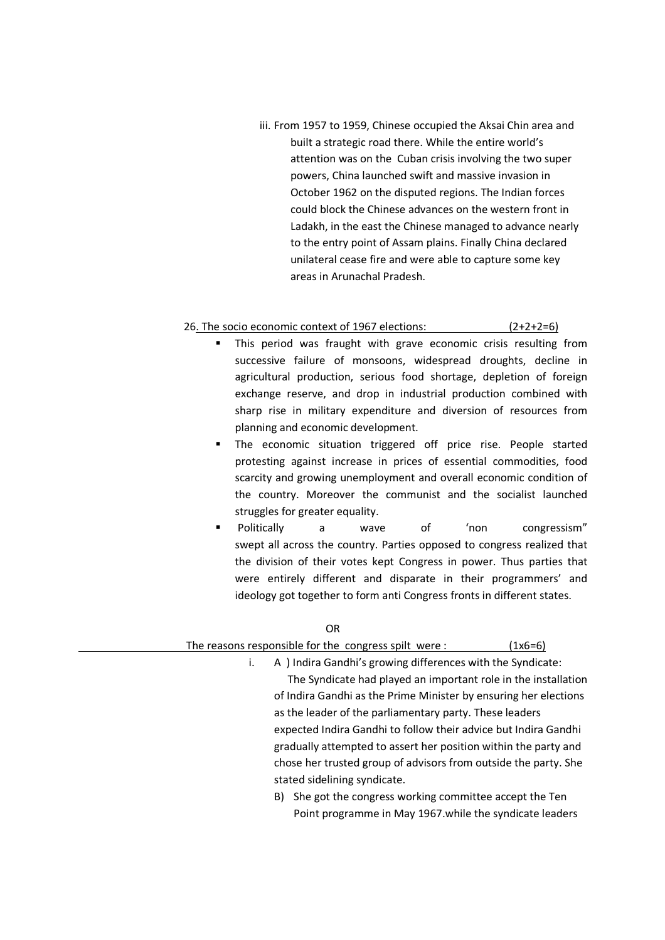iii. From 1957 to 1959, Chinese occupied the Aksai Chin area and built a strategic road there. While the entire world's attention was on the Cuban crisis involving the two super powers, China launched swift and massive invasion in October 1962 on the disputed regions. The Indian forces could block the Chinese advances on the western front in Ladakh, in the east the Chinese managed to advance nearly to the entry point of Assam plains. Finally China declared unilateral cease fire and were able to capture some key areas in Arunachal Pradesh.

## 26. The socio economic context of 1967 elections: (2+2+2=6)

- This period was fraught with grave economic crisis resulting from successive failure of monsoons, widespread droughts, decline in agricultural production, serious food shortage, depletion of foreign exchange reserve, and drop in industrial production combined with sharp rise in military expenditure and diversion of resources from planning and economic development.
- **The economic situation triggered off price rise. People started** protesting against increase in prices of essential commodities, food scarcity and growing unemployment and overall economic condition of the country. Moreover the communist and the socialist launched struggles for greater equality.
- Politically a wave of 'non congressism" swept all across the country. Parties opposed to congress realized that the division of their votes kept Congress in power. Thus parties that were entirely different and disparate in their programmers' and ideology got together to form anti Congress fronts in different states.

#### OR

## The reasons responsible for the congress spilt were :  $(1x6=6)$

- i. A ) Indira Gandhi's growing differences with the Syndicate: The Syndicate had played an important role in the installation of Indira Gandhi as the Prime Minister by ensuring her elections as the leader of the parliamentary party. These leaders expected Indira Gandhi to follow their advice but Indira Gandhi gradually attempted to assert her position within the party and chose her trusted group of advisors from outside the party. She stated sidelining syndicate.
	- B) She got the congress working committee accept the Ten Point programme in May 1967.while the syndicate leaders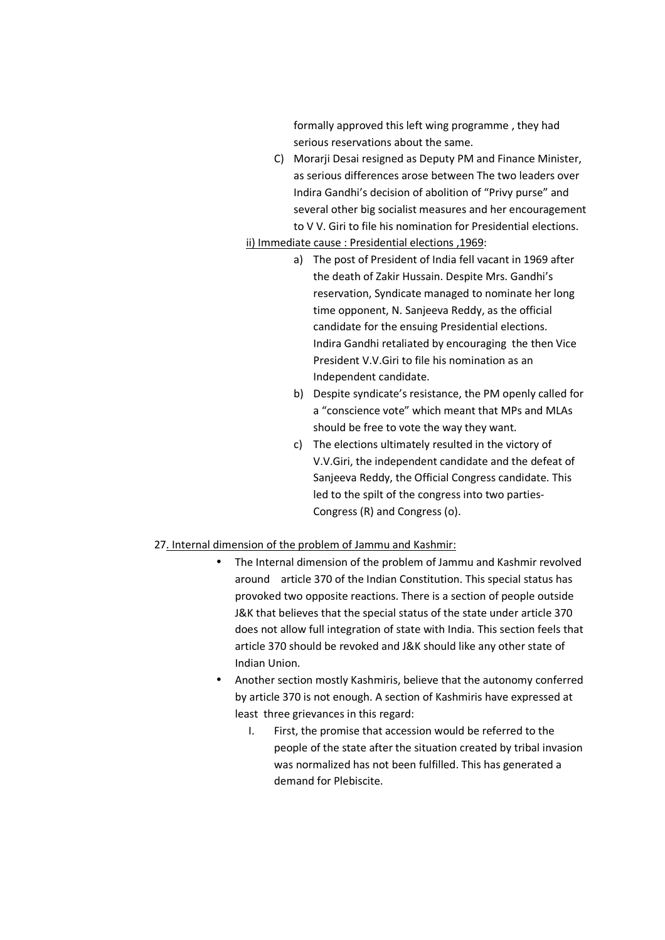formally approved this left wing programme , they had serious reservations about the same.

C) Morarji Desai resigned as Deputy PM and Finance Minister, as serious differences arose between The two leaders over Indira Gandhi's decision of abolition of "Privy purse" and several other big socialist measures and her encouragement to V V. Giri to file his nomination for Presidential elections.

#### ii) Immediate cause : Presidential elections ,1969:

- a) The post of President of India fell vacant in 1969 after the death of Zakir Hussain. Despite Mrs. Gandhi's reservation, Syndicate managed to nominate her long time opponent, N. Sanjeeva Reddy, as the official candidate for the ensuing Presidential elections. Indira Gandhi retaliated by encouraging the then Vice President V.V.Giri to file his nomination as an Independent candidate.
- b) Despite syndicate's resistance, the PM openly called for a "conscience vote" which meant that MPs and MLAs should be free to vote the way they want.
- c) The elections ultimately resulted in the victory of V.V.Giri, the independent candidate and the defeat of Sanjeeva Reddy, the Official Congress candidate. This led to the spilt of the congress into two parties-Congress (R) and Congress (o).

## 27. Internal dimension of the problem of Jammu and Kashmir:

- The Internal dimension of the problem of Jammu and Kashmir revolved around article 370 of the Indian Constitution. This special status has provoked two opposite reactions. There is a section of people outside J&K that believes that the special status of the state under article 370 does not allow full integration of state with India. This section feels that article 370 should be revoked and J&K should like any other state of Indian Union.
- Another section mostly Kashmiris, believe that the autonomy conferred by article 370 is not enough. A section of Kashmiris have expressed at least three grievances in this regard:
	- I. First, the promise that accession would be referred to the people of the state after the situation created by tribal invasion was normalized has not been fulfilled. This has generated a demand for Plebiscite.